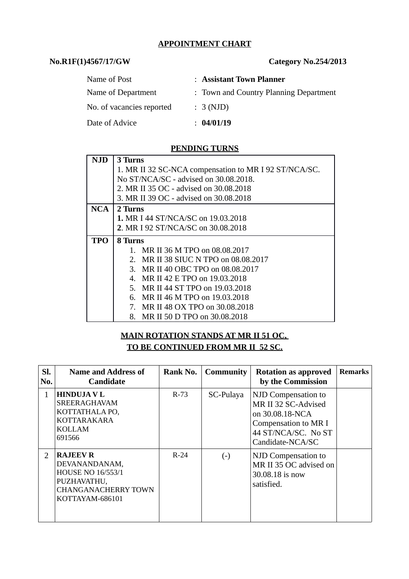#### **APPOINTMENT CHART**

## **No.R1F(1)4567/17/GW Category No.254/2013**

| Name of Post              | : Assistant Town Planner               |
|---------------------------|----------------------------------------|
| Name of Department        | : Town and Country Planning Department |
| No. of vacancies reported | : 3 (NJD)                              |
| Date of Advice            | : 04/01/19                             |

## **PENDING TURNS**

| NJD        | 3 Turns                                               |  |  |  |  |  |
|------------|-------------------------------------------------------|--|--|--|--|--|
|            | 1. MR II 32 SC-NCA compensation to MR I 92 ST/NCA/SC. |  |  |  |  |  |
|            | No ST/NCA/SC - advised on 30.08.2018.                 |  |  |  |  |  |
|            | 2. MR II 35 OC - advised on 30.08.2018                |  |  |  |  |  |
|            | 3. MR II 39 OC - advised on 30.08.2018                |  |  |  |  |  |
| <b>NCA</b> | 2 Turns                                               |  |  |  |  |  |
|            | 1. MR I 44 ST/NCA/SC on 19.03.2018                    |  |  |  |  |  |
|            | 2. MR I 92 ST/NCA/SC on 30.08.2018                    |  |  |  |  |  |
| <b>TPO</b> | 8 Turns                                               |  |  |  |  |  |
|            | 1. MR II 36 M TPO on 08.08.2017                       |  |  |  |  |  |
|            | MR II 38 SIUC N TPO on 08.08.2017<br>$2_{-}$          |  |  |  |  |  |
|            | 3. MR II 40 OBC TPO on 08.08.2017                     |  |  |  |  |  |
|            | 4. MR II 42 E TPO on 19.03.2018                       |  |  |  |  |  |
|            | 5. MR II 44 ST TPO on 19.03.2018                      |  |  |  |  |  |
|            | MR II 46 M TPO on 19.03.2018<br>6.                    |  |  |  |  |  |
|            | 7. MR II 48 OX TPO on 30.08.2018                      |  |  |  |  |  |
|            | 8. MR II 50 D TPO on 30.08.2018                       |  |  |  |  |  |

# **MAIN ROTATION STANDS AT MR II 51 OC, TO BE CONTINUED FROM MR II 52 SC.**

| SI.<br>No.    | <b>Name and Address of</b><br><b>Candidate</b>                                                                               | Rank No. | <b>Community</b> | <b>Rotation as approved</b><br>by the Commission                                                                                 | <b>Remarks</b> |
|---------------|------------------------------------------------------------------------------------------------------------------------------|----------|------------------|----------------------------------------------------------------------------------------------------------------------------------|----------------|
| 1             | <b>HINDUJA V L</b><br><b>SREERAGHAVAM</b><br>KOTTATHALA PO,<br><b>KOTTARAKARA</b><br>KOLLAM<br>691566                        | $R-73$   | SC-Pulaya        | NJD Compensation to<br>MR II 32 SC-Advised<br>on 30.08.18-NCA<br>Compensation to MR I<br>44 ST/NCA/SC. No ST<br>Candidate-NCA/SC |                |
| $\mathcal{P}$ | <b>RAJEEV R</b><br>DEVANANDANAM,<br><b>HOUSE NO 16/553/1</b><br>PUZHAVATHU,<br><b>CHANGANACHERRY TOWN</b><br>KOTTAYAM-686101 | $R-24$   | $(\cdot)$        | NJD Compensation to<br>MR II 35 OC advised on<br>30.08.18 is now<br>satisfied.                                                   |                |